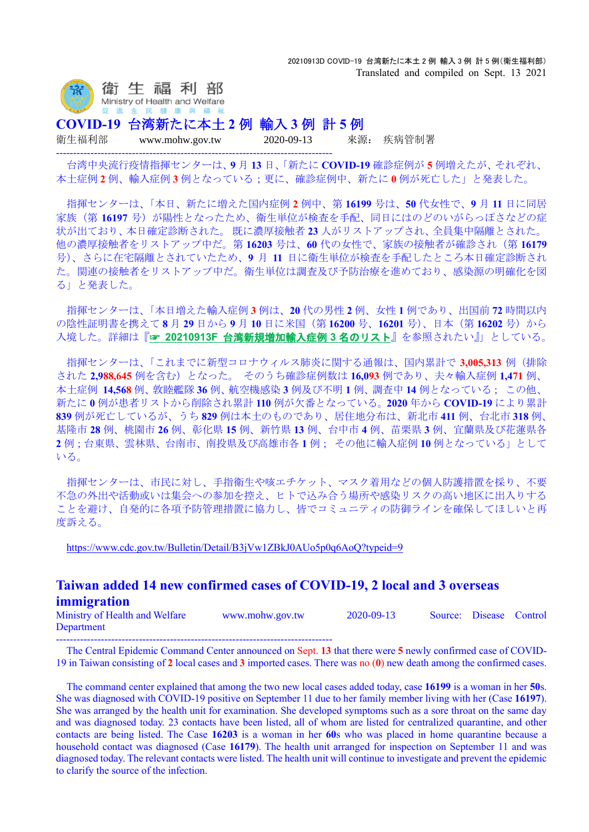

**COVID-19** 台湾新たに本土 **2** 例 輸入 **3** 例 計 **5** 例

--------------------------------------------------------------------------------

衛生福利部 www.mohw.gov.tw 2020-09-13 來源: 疾病管制署

台湾中央流行疫情指揮センターは、**9** 月 **13** 日、「新たに **COVID-19** 確診症例が **5** 例増えたが、それぞれ、 本土症例 **2** 例、輸入症例 **3** 例となっている;更に、確診症例中、新たに **0** 例が死亡した」と発表した。

指揮センターは、「本日、新たに増えた国内症例 **2** 例中、第 **16199** 号は、**50** 代女性で、**9** 月 **11** 日に同居 家族(第16197号)が陽性となったため、衛生単位が検査を手配、同日にはのどのいがらっぽさなどの症 状が出ており、本日確定診断された。 既に濃厚接触者 **23** 人がリストアップされ、全員集中隔離とされた。 他の濃厚接触者をリストアップ中だ。第 **16203** 号は、**60** 代の女性で、家族の接触者が確診され(第 **16179** 号)、さらに在宅隔離とされていたため、**9** 月 **11** 日に衛生単位が検査を手配したところ本日確定診断され た。関連の接触者をリストアップ中だ。衛生単位は調査及び予防治療を進めており、感染源の明確化を図 る」と発表した。

指揮センターは、「本日増えた輸入症例 **3** 例は、**20** 代の男性 **2** 例、女性 **1** 例であり、出国前 **72** 時間以内 の陰性証明書を携えて **8** 月 **29** 日から **9** 月 **10** 日に米国(第 **16200** 号、**16201** 号)、日本(第 **16202** 号)から 入境した。詳細は『☞ **20210913F** [台湾新規増加輸入症例](https://www.mi-jch.com/wp-content/uploads/2021/09/aaf36391e06b02c8675b3c54311d9bf4.xlsx) **3** 名のリスト』を参照されたい』」としている。

指揮センターは、「これまでに新型コロナウィルス肺炎に関する通報は、国内累計で **3,005,313** 例(排除 された **2,988,645** 例を含む)となった。 そのうち確診症例数は **16,093** 例であり、夫々輸入症例 **1,471** 例、 本土症例 **14,568** 例、敦睦艦隊 **36** 例、航空機感染 **3** 例及び不明 **1** 例、調査中 **14** 例となっている; この他、 新たに **0** 例が患者リストから削除され累計 **110** 例が欠番となっている。**2020** 年から **COVID-19** により累計 **839** 例が死亡しているが、うち **829** 例は本土のものであり、居住地分布は、新北市 **411** 例、台北市 **318** 例、 基隆市 **28** 例、桃園市 **26** 例、彰化県 **15** 例、新竹県 **13** 例、台中市 **4** 例、苗栗県 **3** 例、宜蘭県及び花蓮県各 **2** 例;台東県、雲林県、台南市、南投県及び高雄市各 **1** 例; その他に輸入症例 **10** 例となっている」として いる。

指揮センターは、市民に対し、手指衛生や咳エチケット、マスク着用などの個人防護措置を採り、不要 不急の外出や活動或いは集会への参加を控え、ヒトで込み合う場所や感染リスクの高い地区に出入りする ことを避け、自発的に各項予防管理措置に協力し、皆でコミュニティの防御ラインを確保してほしいと再 度訴える。

<https://www.cdc.gov.tw/Bulletin/Detail/B3jVw1ZBkJ0AUo5p0q6AoQ?typeid=9>

## **Taiwan added 14 new confirmed cases of COVID-19, 2 local and 3 overseas immigration**

Ministry of Health and Welfare www.mohw.gov.tw 2020-09-13 Source: Disease Control Department --------------------------------------------------------------------------------

The Central Epidemic Command Center announced on Sept. **13** that there were **5** newly confirmed case of COVID-19 in Taiwan consisting of **2** local cases and **3** imported cases. There was no (**0**) new death among the confirmed cases.

The command center explained that among the two new local cases added today, case **16199** is a woman in her **50**s. She was diagnosed with COVID-19 positive on September 11 due to her family member living with her (Case **16197**). She was arranged by the health unit for examination. She developed symptoms such as a sore throat on the same day and was diagnosed today. 23 contacts have been listed, all of whom are listed for centralized quarantine, and other contacts are being listed. The Case **16203** is a woman in her **60**s who was placed in home quarantine because a household contact was diagnosed (Case **16179**). The health unit arranged for inspection on September 11 and was diagnosed today. The relevant contacts were listed. The health unit will continue to investigate and prevent the epidemic to clarify the source of the infection.